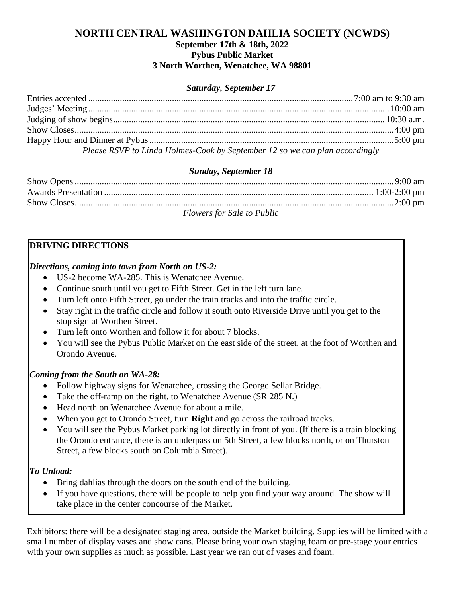### **NORTH CENTRAL WASHINGTON DAHLIA SOCIETY (NCWDS) September 17th & 18th, 2022 Pybus Public Market 3 North Worthen, Wenatchee, WA 98801**

### *Saturday, September 17*

| Please RSVP to Linda Holmes-Cook by September 12 so we can plan accordingly |  |
|-----------------------------------------------------------------------------|--|

#### *Sunday, September 18*

| <b>Flowers for Sale to Public</b> |  |
|-----------------------------------|--|

### **DRIVING DIRECTIONS**

#### *Directions, coming into town from North on US-2:*

- US-2 become WA-285. This is Wenatchee Avenue.
- Continue south until you get to Fifth Street. Get in the left turn lane.
- Turn left onto Fifth Street, go under the train tracks and into the traffic circle.
- Stay right in the traffic circle and follow it south onto Riverside Drive until you get to the stop sign at Worthen Street.
- Turn left onto Worthen and follow it for about 7 blocks.
- You will see the Pybus Public Market on the east side of the street, at the foot of Worthen and Orondo Avenue.

### *Coming from the South on WA-28:*

- Follow highway signs for Wenatchee, crossing the George Sellar Bridge.
- Take the off-ramp on the right, to Wenatchee Avenue (SR 285 N.)
- Head north on Wenatchee Avenue for about a mile.
- When you get to Orondo Street, turn **Right** and go across the railroad tracks.
- You will see the Pybus Market parking lot directly in front of you. (If there is a train blocking the Orondo entrance, there is an underpass on 5th Street, a few blocks north, or on Thurston Street, a few blocks south on Columbia Street).

### *To Unload:*

- Bring dahlias through the doors on the south end of the building.
- If you have questions, there will be people to help you find your way around. The show will take place in the center concourse of the Market.

Exhibitors: there will be a designated staging area, outside the Market building. Supplies will be limited with a small number of display vases and show cans. Please bring your own staging foam or pre-stage your entries with your own supplies as much as possible. Last year we ran out of vases and foam.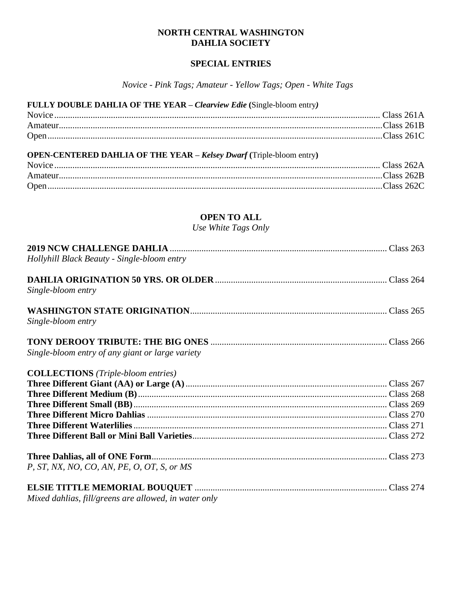### **NORTH CENTRAL WASHINGTON DAHLIA SOCIETY**

## **SPECIAL ENTRIES**

*Novice - Pink Tags; Amateur - Yellow Tags; Open - White Tags*

| FULLY DOUBLE DAHLIA OF THE YEAR - Clearview Edie (Single-bloom entry)       |  |
|-----------------------------------------------------------------------------|--|
|                                                                             |  |
|                                                                             |  |
|                                                                             |  |
| <b>OPEN-CENTERED DAHLIA OF THE YEAR - Kelsey Dwarf (Triple-bloom entry)</b> |  |
|                                                                             |  |
|                                                                             |  |
|                                                                             |  |

# **OPEN TO ALL**

*Use White Tags Only*

| Hollyhill Black Beauty - Single-bloom entry           |  |
|-------------------------------------------------------|--|
| Single-bloom entry                                    |  |
| Single-bloom entry                                    |  |
| Single-bloom entry of any giant or large variety      |  |
| <b>COLLECTIONS</b> (Triple-bloom entries)             |  |
|                                                       |  |
|                                                       |  |
|                                                       |  |
|                                                       |  |
|                                                       |  |
|                                                       |  |
| P, ST, NX, NO, CO, AN, PE, O, OT, S, or MS            |  |
| Mixed dahlias, fill/greens are allowed, in water only |  |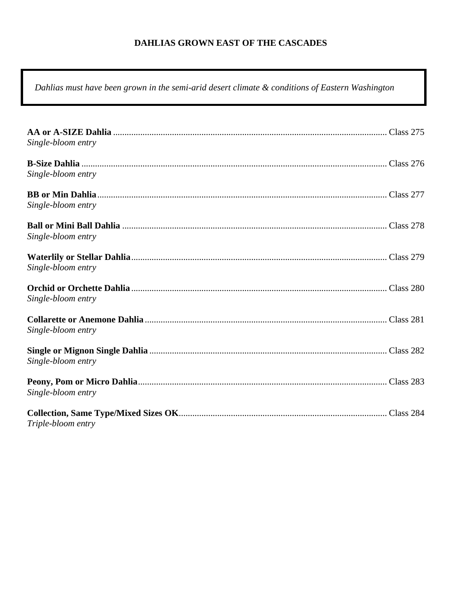## **DAHLIAS GROWN EAST OF THE CASCADES**

*Dahlias must have been grown in the semi-arid desert climate & conditions of Eastern Washington*

| Single-bloom entry |  |
|--------------------|--|
|                    |  |
| Single-bloom entry |  |
|                    |  |
| Single-bloom entry |  |
| Single-bloom entry |  |
|                    |  |
| Single-bloom entry |  |
| Single-bloom entry |  |
| Single-bloom entry |  |
| Single-bloom entry |  |
| Single-bloom entry |  |
| Triple-bloom entry |  |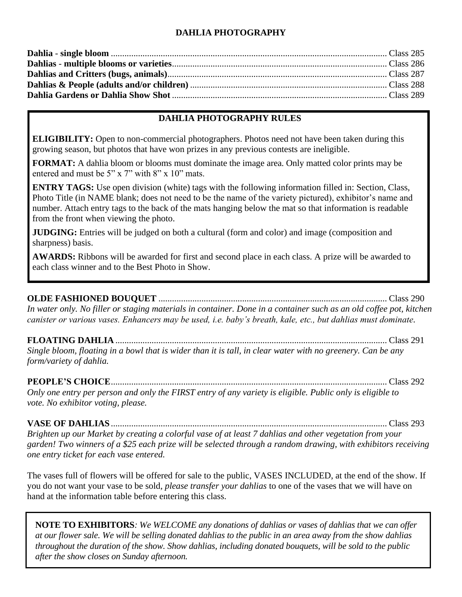## **DAHLIA PHOTOGRAPHY**

## **DAHLIA PHOTOGRAPHY RULES**

**ELIGIBILITY:** Open to non-commercial photographers. Photos need not have been taken during this growing season, but photos that have won prizes in any previous contests are ineligible.

**FORMAT:** A dahlia bloom or blooms must dominate the image area. Only matted color prints may be entered and must be 5" x 7" with 8" x 10" mats.

**ENTRY TAGS:** Use open division (white) tags with the following information filled in: Section, Class, Photo Title (in NAME blank; does not need to be the name of the variety pictured), exhibitor's name and number. Attach entry tags to the back of the mats hanging below the mat so that information is readable from the front when viewing the photo.

**JUDGING:** Entries will be judged on both a cultural (form and color) and image (composition and sharpness) basis.

**AWARDS:** Ribbons will be awarded for first and second place in each class. A prize will be awarded to each class winner and to the Best Photo in Show.

### **OLDE FASHIONED BOUQUET** ..................................................................................................... Class 290

*In water only. No filler or staging materials in container. Done in a container such as an old coffee pot, kitchen canister or various vases. Enhancers may be used, i.e. baby's breath, kale, etc., but dahlias must dominate.*

### **FLOATING DAHLIA** ........................................................................................................................ Class 291

*Single bloom, floating in a bowl that is wider than it is tall, in clear water with no greenery. Can be any form/variety of dahlia.*

# **PEOPLE'S CHOICE**.......................................................................................................................... Class 292

*Only one entry per person and only the FIRST entry of any variety is eligible. Public only is eligible to vote. No exhibitor voting, please.*

**VASE OF DAHLIAS**.......................................................................................................................... Class 293

*Brighten up our Market by creating a colorful vase of at least 7 dahlias and other vegetation from your garden! Two winners of a \$25 each prize will be selected through a random drawing, with exhibitors receiving one entry ticket for each vase entered.* 

The vases full of flowers will be offered for sale to the public, VASES INCLUDED, at the end of the show. If you do not want your vase to be sold*, please transfer your dahlias* to one of the vases that we will have on hand at the information table before entering this class.

**NOTE TO EXHIBITORS***: We WELCOME any donations of dahlias or vases of dahlias that we can offer at our flower sale. We will be selling donated dahlias to the public in an area away from the show dahlias throughout the duration of the show. Show dahlias, including donated bouquets, will be sold to the public after the show closes on Sunday afternoon.*